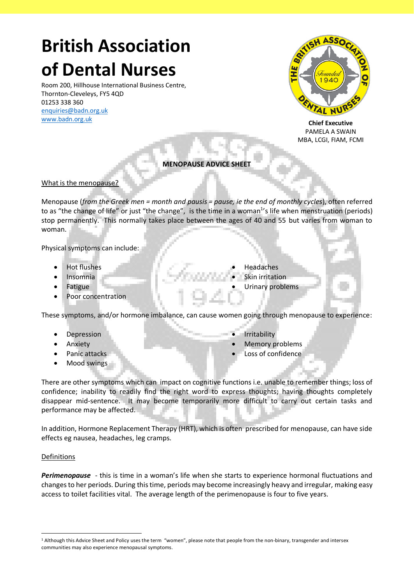# **British Association of Dental Nurses**

Room 200, Hillhouse International Business Centre, Thornton-Cleveleys, FY5 4QD 01253 338 360 [enquiries@badn.org.uk](mailto:enquiries@badn.org.uk) [www.badn.org.uk](http://www.badn.org.uk/)



**Chief Executive** PAMELA A SWAIN MBA, LCGI, FIAM, FCMI

# **MENOPAUSE ADVICE SHEET**

#### What is the menopause?

Menopause (*from the Greek men = month and pausis = pause, ie the end of monthly cycles*), often referred to as "the change of life" or just "the change", is the time in a woman<sup>1</sup>'s life when menstruation (periods) stop permanently. This normally takes place between the ages of 40 and 55 but varies from woman to woman.

Physical symptoms can include:

- Hot flushes
- Insomnia
- **Fatigue**
- Poor concentration
- **Headaches**
- **Skin irritation**
- Urinary problems

These symptoms, and/or hormone imbalance, can cause women going through menopause to experience:

- **Depression**
- **Anxiety**
- Panic attacks
- Mood swings
- **Irritability**
- Memory problems
- Loss of confidence

There are other symptoms which can impact on cognitive functions i.e. unable to remember things; loss of confidence; inability to readily find the right word to express thoughts; having thoughts completely disappear mid-sentence. It may become temporarily more difficult to carry out certain tasks and performance may be affected.

In addition, Hormone Replacement Therapy (HRT), which is often prescribed for menopause, can have side effects eg nausea, headaches, leg cramps.

#### Definitions

*Perimenopause* - this is time in a woman's life when she starts to experience hormonal fluctuations and changes to her periods. During this time, periods may become increasingly heavy and irregular, making easy access to toilet facilities vital. The average length of the perimenopause is four to five years.

<sup>&</sup>lt;sup>1</sup> Although this Advice Sheet and Policy uses the term "women", please note that people from the non-binary, transgender and intersex communities may also experience menopausal symptoms.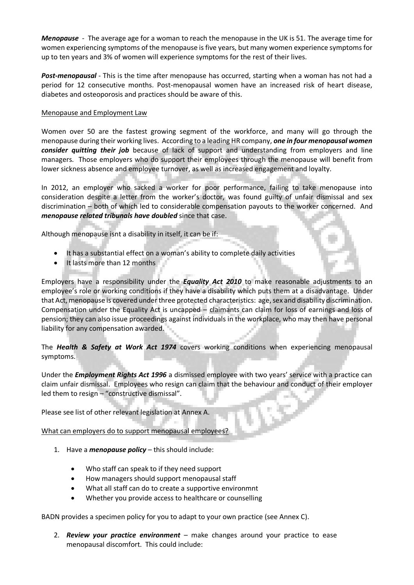*Menopause* - The average age for a woman to reach the menopause in the UK is 51. The average time for women experiencing symptoms of the menopause is five years, but many women experience symptoms for up to ten years and 3% of women will experience symptoms for the rest of their lives.

*Post-menopausal* - This is the time after menopause has occurred, starting when a woman has not had a period for 12 consecutive months. Post-menopausal women have an increased risk of heart disease, diabetes and osteoporosis and practices should be aware of this.

### Menopause and Employment Law

Women over 50 are the fastest growing segment of the workforce, and many will go through the menopause during their working lives. According to a leading HR company, *one in four menopausal women consider quitting their job* because of lack of support and understanding from employers and line managers. Those employers who do support their employees through the menopause will benefit from lower sickness absence and employee turnover, as well as increased engagement and loyalty.

In 2012, an employer who sacked a worker for poor performance, failing to take menopause into consideration despite a letter from the worker's doctor, was found guilty of unfair dismissal and sex discrimination – both of which led to considerable compensation payouts to the worker concerned. And *menopause related tribunals have doubled* since that case.

Although menopause isnt a disability in itself, it can be if:

- It has a substantial effect on a woman's ability to complete daily activities
- It lasts more than 12 months

Employers have a responsibility under the *Equality Act 2010* to make reasonable adjustments to an employee's role or working conditions if they have a disability which puts them at a disadvantage. Under that Act, menopause is covered under three protected characteristics: age, sex and disability discrimination. Compensation under the Equality Act is uncapped – claimants can claim for loss of earnings and loss of pension; they can also issue proceedings against individuals in the workplace, who may then have personal liability for any compensation awarded.

The *Health & Safety at Work Act 1974* covers working conditions when experiencing menopausal symptoms.

Under the *Employment Rights Act 1996* a dismissed employee with two years' service with a practice can claim unfair dismissal. Employees who resign can claim that the behaviour and conduct of their employer led them to resign – "constructive dismissal".

Please see list of other relevant legislation at Annex A.

What can employers do to support menopausal employees?

- 1. Have a *menopause policy* this should include:
	- Who staff can speak to if they need support
	- How managers should support menopausal staff
	- What all staff can do to create a supportive environmnt
	- Whether you provide access to healthcare or counselling

BADN provides a specimen policy for you to adapt to your own practice (see Annex C).

2. *Review your practice environment* – make changes around your practice to ease menopausal discomfort. This could include: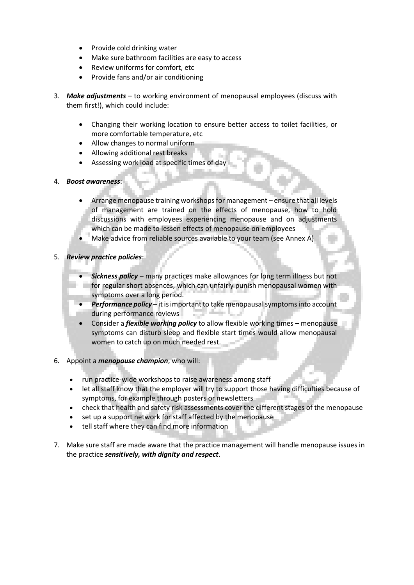- Provide cold drinking water
- Make sure bathroom facilities are easy to access
- Review uniforms for comfort, etc
- Provide fans and/or air conditioning
- 3. *Make adjustments* to working environment of menopausal employees (discuss with them first!), which could include:
	- Changing their working location to ensure better access to toilet facilities, or more comfortable temperature, etc
	- Allow changes to normal uniform
	- Allowing additional rest breaks
	- Assessing work load at specific times of day
- 4. *Boost awareness*:
	- Arrange menopause training workshops for management ensure that all levels of management are trained on the effects of menopause, how to hold discussions with employees experiencing menopause and on adjustments which can be made to lessen effects of menopause on employees
	- Make advice from reliable sources available to your team (see Annex A)
- 5. *Review practice policies*:
	- *Sickness policy* many practices make allowances for long term illness but not for regular short absences, which can unfairly punish menopausal women with symptoms over a long period.
	- *Performance policy* it is important to take menopausal symptoms into account 55 H during performance reviews an a
	- Consider a *flexible working policy* to allow flexible working times menopause symptoms can disturb sleep and flexible start times would allow menopausal women to catch up on much needed rest.
- 6. Appoint a *menopause champion*, who will:
	- run practice-wide workshops to raise awareness among staff
	- let all staff know that the employer will try to support those having difficulties because of symptoms, for example through posters or newsletters
	- check that health and safety risk assessments cover the different stages of the menopause
	- set up a support network for staff affected by the menopause
	- tell staff where they can find more information
- 7. Make sure staff are made aware that the practice management will handle menopause issues in the practice *sensitively, with dignity and respect*.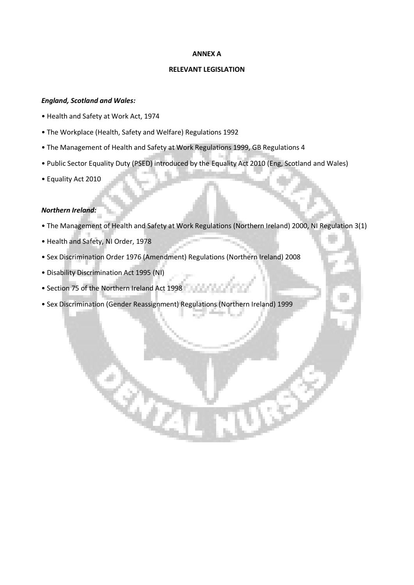#### **ANNEX A**

#### **RELEVANT LEGISLATION**

# *England, Scotland and Wales:*

- Health and Safety at Work Act, 1974
- The Workplace (Health, Safety and Welfare) Regulations 1992
- The Management of Health and Safety at Work Regulations 1999, GB Regulations 4
- Public Sector Equality Duty (PSED) introduced by the Equality Act 2010 (Eng, Scotland and Wales)
- Equality Act 2010

### *Northern Ireland:*

- The Management of Health and Safety at Work Regulations (Northern Ireland) 2000, NI Regulation 3(1)
- Health and Safety, NI Order, 1978
- Sex Discrimination Order 1976 (Amendment) Regulations (Northern Ireland) 2008
- Disability Discrimination Act 1995 (NI)
- Section 75 of the Northern Ireland Act 1998
- Sex Discrimination (Gender Reassignment) Regulations (Northern Ireland) 1999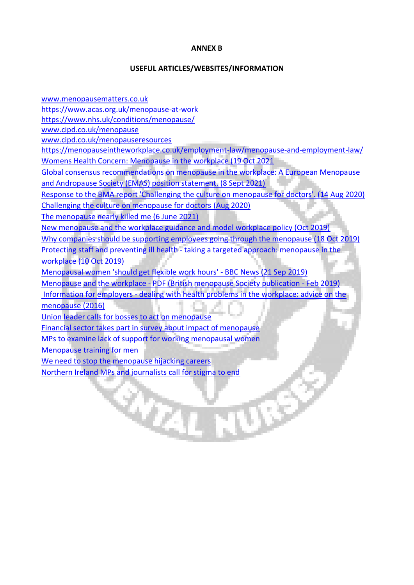## **ANNEX B**

## **USEFUL ARTICLES/WEBSITES/INFORMATION**

[www.menopausematters.co.uk](http://www.menopausematters.co.uk/) https://www.acas.org.uk/menopause-at-work <https://www.nhs.uk/conditions/menopause/> [www.cipd.co.uk/menopause](http://www.cipd.co.uk/menopause) [www.cipd.co.uk/menopauseresources](http://www.cipd.co.uk/menopauseresources) <https://menopauseintheworkplace.co.uk/employment-law/menopause-and-employment-law/> [Womens Health Concern: Menopause in the workplace \(19 Oct 2021](https://www.womens-health-concern.org/help-and-advice/menopause-in-the-workplace/) [Global consensus recommendations on menopause in the workplace: A European Menopause](https://pubmed.ncbi.nlm.nih.gov/34274202/)  and [Andropause Society \(EMAS\) position statement. \(8 Sept 2021\)](https://pubmed.ncbi.nlm.nih.gov/34274202/) [Response to the BMA report 'Challenging the culture on menopause for doctors'. \(14 Aug 2020\)](https://www.menopausematters.co.uk/pdf/Response_to_BMA_report_Challenging_the_culture_on_menopause_for_doctors_14.8.20.pdf) [Challenging the culture on menopause for doctors](https://www.bma.org.uk/advice-and-support/nhs-delivery-and-workforce/workforce/challenging-the-culture-on-menopause-for-working-doctors-report) (Aug 2020) [The menopause nearly killed me \(6 June 2021\)](https://www.sundaypost.com/fp/union-leader-calls-for-bosses-to-act-on-menopause/) [New menopause and the workplace guidance and model workplace policy \(Oct 2019\)](https://www.unison.org.uk/content/uploads/2019/10/25831.pdf) [Why companies should be supporting employees going through the menopause \(18 Oct 2019\)](https://www.covermagazine.co.uk/cover/opinion/3082744/why-companies-should-be-supporting-employees-going-through-the-menopause) Protecting staff and preventing ill health - [taking a targeted approach: menopause in the](https://www.nhsemployers.org/retention-and-staff-experience/health-and-wellbeing/protecting-staff-and-preventing-ill-health/taking-a-targeted-approach/menopause-in-the-workplace)  [workplace \(10 Oct 2019\)](https://www.nhsemployers.org/retention-and-staff-experience/health-and-wellbeing/protecting-staff-and-preventing-ill-health/taking-a-targeted-approach/menopause-in-the-workplace) [Menopausal women 'should get flexible work hours' -](https://www.bbc.co.uk/news/uk-politics-49781137) BBC News (21 Sep 2019) Menopause and the workplace - [PDF \(British menopause Society publication -](https://thebms.org.uk/wp-content/uploads/2019/02/07-BMS-TfC-Menopause-and-the-workplace-02C.pdf) Feb 2019) Information for employers - [dealing with health problems in the workplace: advice on the](https://www.fom.ac.uk/health-at-work-2/information-for-employers/dealing-with-health-problems-in-the-workplace/advice-on-the-menopause)  [menopause \(2016\)](https://www.fom.ac.uk/health-at-work-2/information-for-employers/dealing-with-health-problems-in-the-workplace/advice-on-the-menopause) [Union leader calls for bosses to act on menopause](https://www.sundaypost.com/fp/union-leader-calls-for-bosses-to-act-on-menopause) [Financial sector takes part in survey about impact of menopause](https://www.theguardian.com/society/2021/may/19/financial-sector-takes-part-in-survey-about-impact-of-menopause) [MPs to examine lack of support for working menopausal women](https://www.theguardian.com/global/2021/jul/23/mps-to-examine-lack-of-support-for-working-menopausal-women) [Menopause training for men](https://menopauseexperts.com/menopause-training-for-men/) [We need to stop the menopause hijacking careers](https://www.thetimes.co.uk/article/we-need-to-stop-the-menopause-hijacking-careers-lvhb9lz3z) [Northern Ireland MPs and journalists call for stigma to end](https://www.bbc.co.uk/news/uk-northern-ireland-57640881)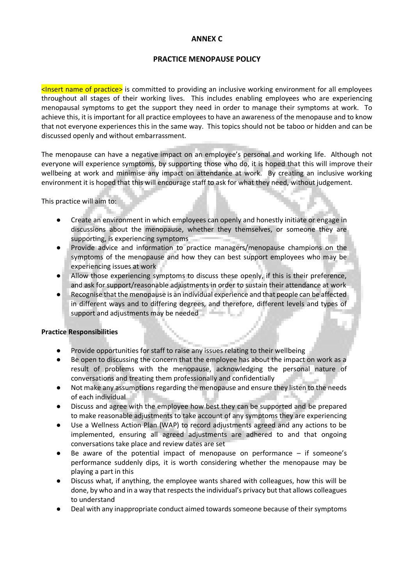# **ANNEX C**

# **PRACTICE MENOPAUSE POLICY**

 $\leq$ Insert name of practice> is committed to providing an inclusive working environment for all employees throughout all stages of their working lives. This includes enabling employees who are experiencing menopausal symptoms to get the support they need in order to manage their symptoms at work. To achieve this, it is important for all practice employees to have an awareness of the menopause and to know that not everyone experiences this in the same way. This topics should not be taboo or hidden and can be discussed openly and without embarrassment.

The menopause can have a negative impact on an employee's personal and working life. Although not everyone will experience symptoms, by supporting those who do, it is hoped that this will improve their wellbeing at work and minimise any impact on attendance at work. By creating an inclusive working environment it is hoped that this will encourage staff to ask for what they need, without judgement.

This practice will aim to:

- Create an environment in which employees can openly and honestly initiate or engage in discussions about the menopause, whether they themselves, or someone they are supporting, is experiencing symptoms
- Provide advice and information to practice managers/menopause champions on the symptoms of the menopause and how they can best support employees who may be experiencing issues at work
- Allow those experiencing symptoms to discuss these openly, if this is their preference, and ask for support/reasonable adjustments in order to sustain their attendance at work
- Recognise that the menopause is an individual experience and that people can be affected in different ways and to differing degrees, and therefore, different levels and types of support and adjustments may be needed

## **Practice Responsibilities**

- Provide opportunities for staff to raise any issues relating to their wellbeing
- Be open to discussing the concern that the employee has about the impact on work as a result of problems with the menopause, acknowledging the personal nature of conversations and treating them professionally and confidentially
- Not make any assumptions regarding the menopause and ensure they listen to the needs of each individual
- Discuss and agree with the employee how best they can be supported and be prepared to make reasonable adjustments to take account of any symptoms they are experiencing
- Use a Wellness Action Plan (WAP) to record adjustments agreed and any actions to be implemented, ensuring all agreed adjustments are adhered to and that ongoing conversations take place and review dates are set
- Be aware of the potential impact of menopause on performance if someone's performance suddenly dips, it is worth considering whether the menopause may be playing a part in this
- Discuss what, if anything, the employee wants shared with colleagues, how this will be done, by who and in a way that respects the individual's privacy but that allows colleagues to understand
- Deal with any inappropriate conduct aimed towards someone because of their symptoms